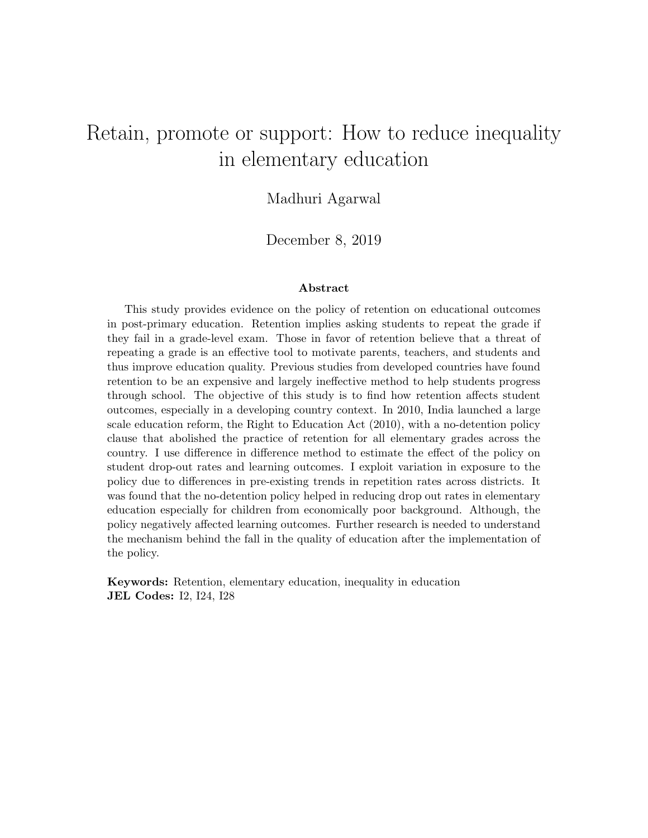# <span id="page-0-0"></span>Retain, promote or support: How to reduce inequality in elementary education

#### Madhuri Agarwal

December 8, 2019

#### Abstract

This study provides evidence on the policy of retention on educational outcomes in post-primary education. Retention implies asking students to repeat the grade if they fail in a grade-level exam. Those in favor of retention believe that a threat of repeating a grade is an effective tool to motivate parents, teachers, and students and thus improve education quality. Previous studies from developed countries have found retention to be an expensive and largely ineffective method to help students progress through school. The objective of this study is to find how retention affects student outcomes, especially in a developing country context. In 2010, India launched a large scale education reform, the Right to Education Act (2010), with a no-detention policy clause that abolished the practice of retention for all elementary grades across the country. I use difference in difference method to estimate the effect of the policy on student drop-out rates and learning outcomes. I exploit variation in exposure to the policy due to differences in pre-existing trends in repetition rates across districts. It was found that the no-detention policy helped in reducing drop out rates in elementary education especially for children from economically poor background. Although, the policy negatively affected learning outcomes. Further research is needed to understand the mechanism behind the fall in the quality of education after the implementation of the policy.

Keywords: Retention, elementary education, inequality in education JEL Codes: I2, I24, I28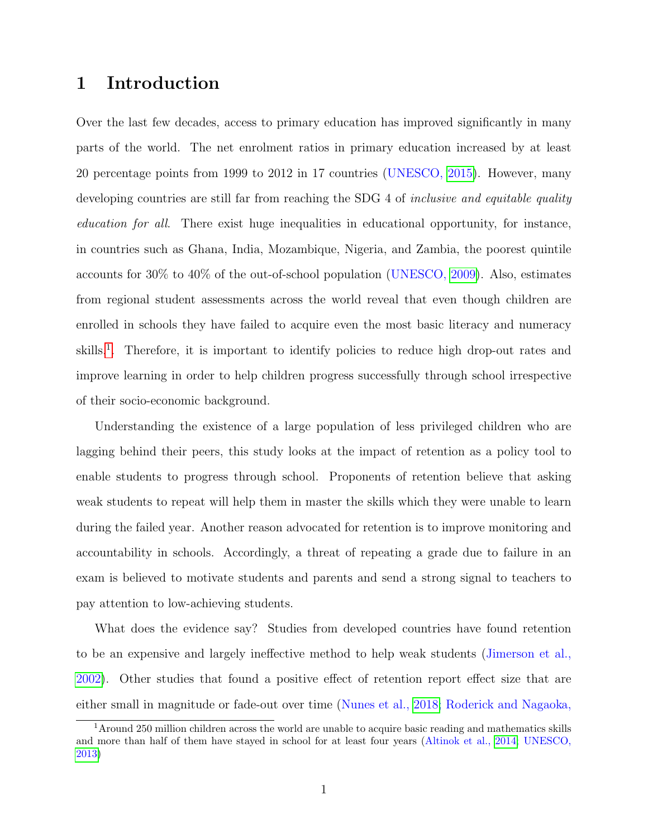## 1 Introduction

Over the last few decades, access to primary education has improved significantly in many parts of the world. The net enrolment ratios in primary education increased by at least 20 percentage points from 1999 to 2012 in 17 countries (UNESCO, [2015\)](#page-13-0). However, many developing countries are still far from reaching the SDG 4 of *inclusive and equitable quality* education for all. There exist huge inequalities in educational opportunity, for instance, in countries such as Ghana, India, Mozambique, Nigeria, and Zambia, the poorest quintile accounts for 30% to 40% of the out-of-school population (UNESCO, [2009\)](#page-13-1). Also, estimates from regional student assessments across the world reveal that even though children are enrolled in schools they have failed to acquire even the most basic literacy and numeracy skills.<sup>[1](#page-0-0)</sup>. Therefore, it is important to identify policies to reduce high drop-out rates and improve learning in order to help children progress successfully through school irrespective of their socio-economic background.

Understanding the existence of a large population of less privileged children who are lagging behind their peers, this study looks at the impact of retention as a policy tool to enable students to progress through school. Proponents of retention believe that asking weak students to repeat will help them in master the skills which they were unable to learn during the failed year. Another reason advocated for retention is to improve monitoring and accountability in schools. Accordingly, a threat of repeating a grade due to failure in an exam is believed to motivate students and parents and send a strong signal to teachers to pay attention to low-achieving students.

What does the evidence say? Studies from developed countries have found retention to be an expensive and largely ineffective method to help weak students (Jimerson et al., [2002\)](#page-13-2). Other studies that found a positive effect of retention report effect size that are either small in magnitude or fade-out over time (Nunes et al., [2018;](#page-13-3) Roderick and Nagaoka,

<sup>&</sup>lt;sup>1</sup> Around 250 million children across the world are unable to acquire basic reading and mathematics skills and more than half of them have stayed in school for at least four years (Altinok et al., [2014;](#page-13-4) UNESCO, [2013\)](#page-13-5)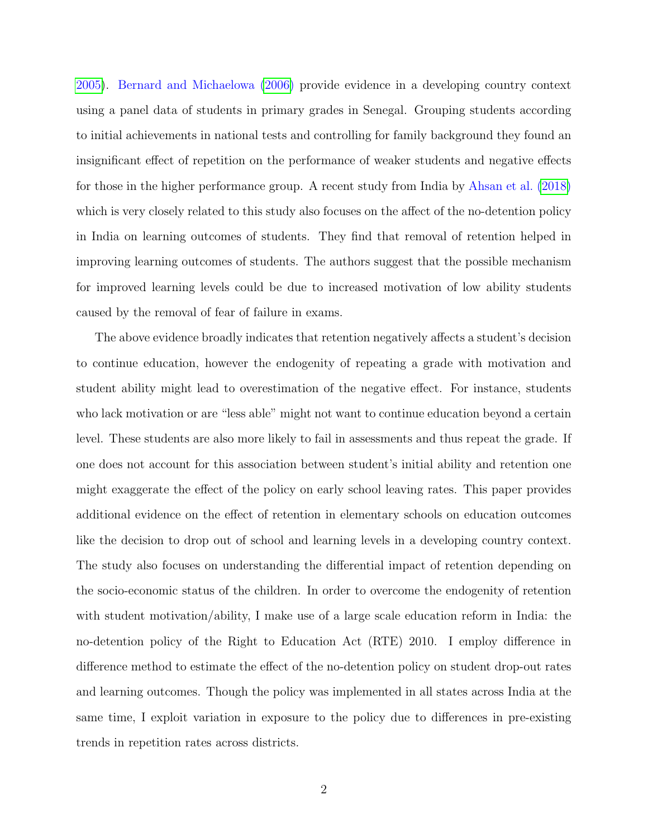[2005\)](#page-13-6). Bernard and Michaelowa [\(2006\)](#page-13-7) provide evidence in a developing country context using a panel data of students in primary grades in Senegal. Grouping students according to initial achievements in national tests and controlling for family background they found an insignificant effect of repetition on the performance of weaker students and negative effects for those in the higher performance group. A recent study from India by Ahsan et al. [\(2018\)](#page-13-8) which is very closely related to this study also focuses on the affect of the no-detention policy in India on learning outcomes of students. They find that removal of retention helped in improving learning outcomes of students. The authors suggest that the possible mechanism for improved learning levels could be due to increased motivation of low ability students caused by the removal of fear of failure in exams.

The above evidence broadly indicates that retention negatively affects a student's decision to continue education, however the endogenity of repeating a grade with motivation and student ability might lead to overestimation of the negative effect. For instance, students who lack motivation or are "less able" might not want to continue education beyond a certain level. These students are also more likely to fail in assessments and thus repeat the grade. If one does not account for this association between student's initial ability and retention one might exaggerate the effect of the policy on early school leaving rates. This paper provides additional evidence on the effect of retention in elementary schools on education outcomes like the decision to drop out of school and learning levels in a developing country context. The study also focuses on understanding the differential impact of retention depending on the socio-economic status of the children. In order to overcome the endogenity of retention with student motivation/ability, I make use of a large scale education reform in India: the no-detention policy of the Right to Education Act (RTE) 2010. I employ difference in difference method to estimate the effect of the no-detention policy on student drop-out rates and learning outcomes. Though the policy was implemented in all states across India at the same time, I exploit variation in exposure to the policy due to differences in pre-existing trends in repetition rates across districts.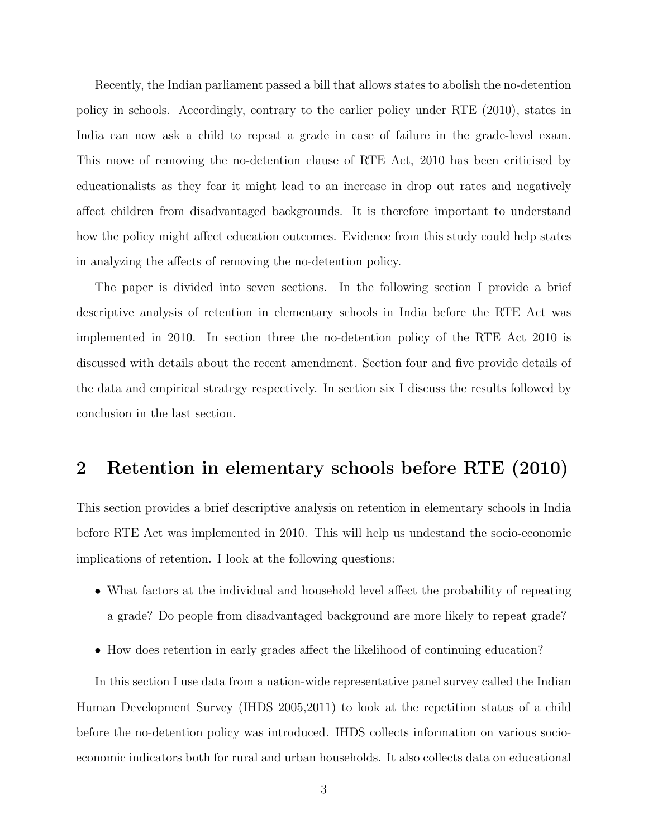Recently, the Indian parliament passed a bill that allows states to abolish the no-detention policy in schools. Accordingly, contrary to the earlier policy under RTE (2010), states in India can now ask a child to repeat a grade in case of failure in the grade-level exam. This move of removing the no-detention clause of RTE Act, 2010 has been criticised by educationalists as they fear it might lead to an increase in drop out rates and negatively affect children from disadvantaged backgrounds. It is therefore important to understand how the policy might affect education outcomes. Evidence from this study could help states in analyzing the affects of removing the no-detention policy.

The paper is divided into seven sections. In the following section I provide a brief descriptive analysis of retention in elementary schools in India before the RTE Act was implemented in 2010. In section three the no-detention policy of the RTE Act 2010 is discussed with details about the recent amendment. Section four and five provide details of the data and empirical strategy respectively. In section six I discuss the results followed by conclusion in the last section.

## 2 Retention in elementary schools before RTE (2010)

This section provides a brief descriptive analysis on retention in elementary schools in India before RTE Act was implemented in 2010. This will help us undestand the socio-economic implications of retention. I look at the following questions:

- What factors at the individual and household level affect the probability of repeating a grade? Do people from disadvantaged background are more likely to repeat grade?
- How does retention in early grades affect the likelihood of continuing education?

In this section I use data from a nation-wide representative panel survey called the Indian Human Development Survey (IHDS 2005,2011) to look at the repetition status of a child before the no-detention policy was introduced. IHDS collects information on various socioeconomic indicators both for rural and urban households. It also collects data on educational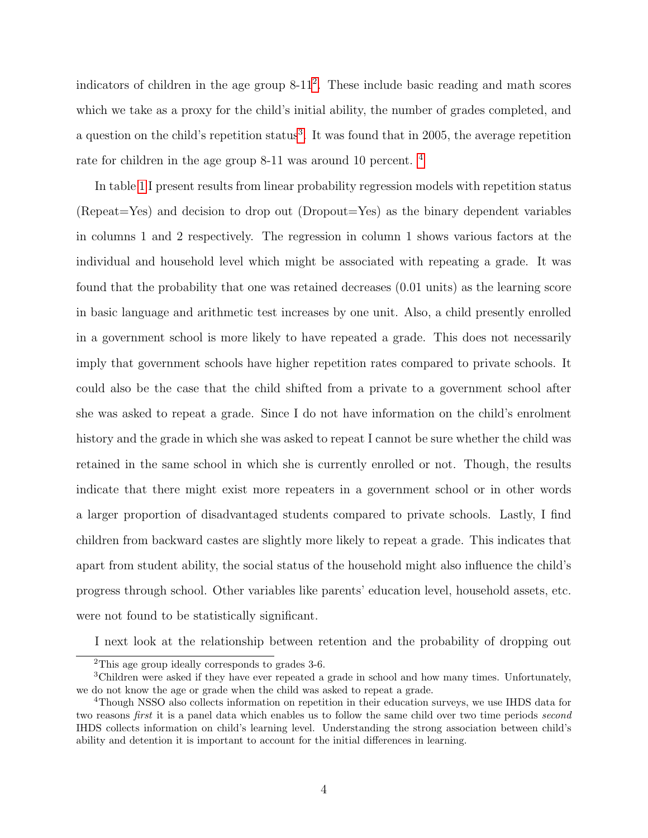indicators of children in the age group 8-11<sup>[2](#page-0-0)</sup>. These include basic reading and math scores which we take as a proxy for the child's initial ability, the number of grades completed, and a question on the child's repetition status<sup>[3](#page-0-0)</sup>. It was found that in 2005, the average repetition rate for children in the age group 8-11 was around 10 percent. [4](#page-0-0)

In table [1](#page-14-0) I present results from linear probability regression models with repetition status (Repeat=Yes) and decision to drop out (Dropout=Yes) as the binary dependent variables in columns 1 and 2 respectively. The regression in column 1 shows various factors at the individual and household level which might be associated with repeating a grade. It was found that the probability that one was retained decreases (0.01 units) as the learning score in basic language and arithmetic test increases by one unit. Also, a child presently enrolled in a government school is more likely to have repeated a grade. This does not necessarily imply that government schools have higher repetition rates compared to private schools. It could also be the case that the child shifted from a private to a government school after she was asked to repeat a grade. Since I do not have information on the child's enrolment history and the grade in which she was asked to repeat I cannot be sure whether the child was retained in the same school in which she is currently enrolled or not. Though, the results indicate that there might exist more repeaters in a government school or in other words a larger proportion of disadvantaged students compared to private schools. Lastly, I find children from backward castes are slightly more likely to repeat a grade. This indicates that apart from student ability, the social status of the household might also influence the child's progress through school. Other variables like parents' education level, household assets, etc. were not found to be statistically significant.

I next look at the relationship between retention and the probability of dropping out

<sup>2</sup>This age group ideally corresponds to grades 3-6.

<sup>3</sup>Children were asked if they have ever repeated a grade in school and how many times. Unfortunately, we do not know the age or grade when the child was asked to repeat a grade.

<sup>4</sup>Though NSSO also collects information on repetition in their education surveys, we use IHDS data for two reasons *first* it is a panel data which enables us to follow the same child over two time periods *second* IHDS collects information on child's learning level. Understanding the strong association between child's ability and detention it is important to account for the initial differences in learning.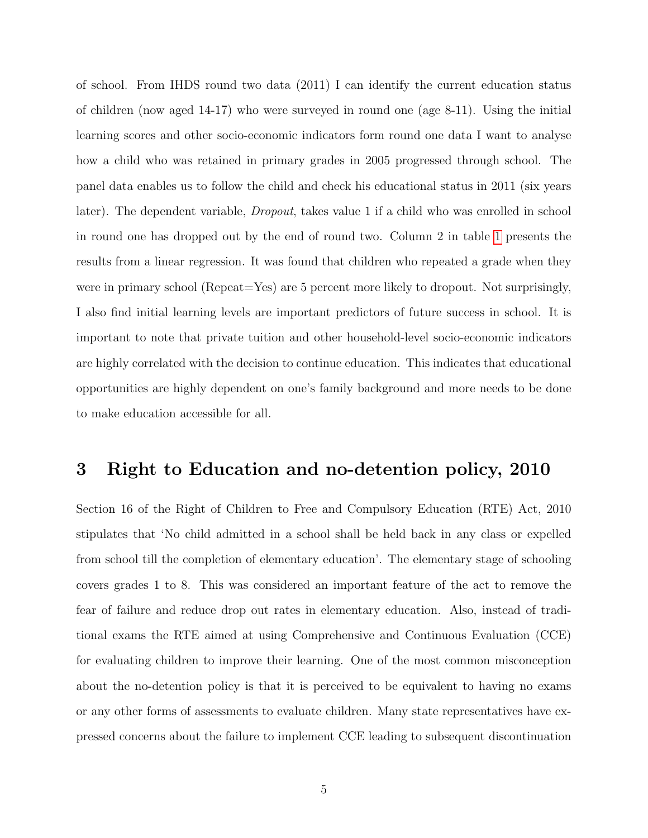of school. From IHDS round two data (2011) I can identify the current education status of children (now aged 14-17) who were surveyed in round one (age 8-11). Using the initial learning scores and other socio-economic indicators form round one data I want to analyse how a child who was retained in primary grades in 2005 progressed through school. The panel data enables us to follow the child and check his educational status in 2011 (six years later). The dependent variable, Dropout, takes value 1 if a child who was enrolled in school in round one has dropped out by the end of round two. Column 2 in table [1](#page-14-0) presents the results from a linear regression. It was found that children who repeated a grade when they were in primary school (Repeat=Yes) are 5 percent more likely to dropout. Not surprisingly, I also find initial learning levels are important predictors of future success in school. It is important to note that private tuition and other household-level socio-economic indicators are highly correlated with the decision to continue education. This indicates that educational opportunities are highly dependent on one's family background and more needs to be done to make education accessible for all.

### 3 Right to Education and no-detention policy, 2010

Section 16 of the Right of Children to Free and Compulsory Education (RTE) Act, 2010 stipulates that 'No child admitted in a school shall be held back in any class or expelled from school till the completion of elementary education'. The elementary stage of schooling covers grades 1 to 8. This was considered an important feature of the act to remove the fear of failure and reduce drop out rates in elementary education. Also, instead of traditional exams the RTE aimed at using Comprehensive and Continuous Evaluation (CCE) for evaluating children to improve their learning. One of the most common misconception about the no-detention policy is that it is perceived to be equivalent to having no exams or any other forms of assessments to evaluate children. Many state representatives have expressed concerns about the failure to implement CCE leading to subsequent discontinuation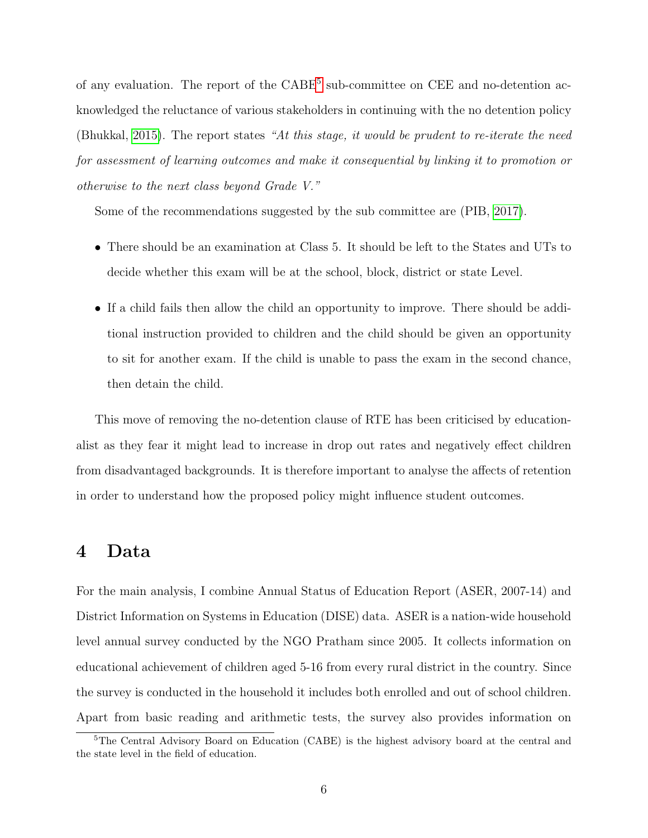of any evaluation. The report of the CABE<sup>[5](#page-0-0)</sup> sub-committee on CEE and no-detention acknowledged the reluctance of various stakeholders in continuing with the no detention policy (Bhukkal, [2015\)](#page-13-9). The report states "At this stage, it would be prudent to re-iterate the need for assessment of learning outcomes and make it consequential by linking it to promotion or otherwise to the next class beyond Grade V."

Some of the recommendations suggested by the sub committee are (PIB, [2017\)](#page-13-10).

- There should be an examination at Class 5. It should be left to the States and UTs to decide whether this exam will be at the school, block, district or state Level.
- If a child fails then allow the child an opportunity to improve. There should be additional instruction provided to children and the child should be given an opportunity to sit for another exam. If the child is unable to pass the exam in the second chance, then detain the child.

This move of removing the no-detention clause of RTE has been criticised by educationalist as they fear it might lead to increase in drop out rates and negatively effect children from disadvantaged backgrounds. It is therefore important to analyse the affects of retention in order to understand how the proposed policy might influence student outcomes.

#### 4 Data

For the main analysis, I combine Annual Status of Education Report (ASER, 2007-14) and District Information on Systems in Education (DISE) data. ASER is a nation-wide household level annual survey conducted by the NGO Pratham since 2005. It collects information on educational achievement of children aged 5-16 from every rural district in the country. Since the survey is conducted in the household it includes both enrolled and out of school children. Apart from basic reading and arithmetic tests, the survey also provides information on

<sup>&</sup>lt;sup>5</sup>The Central Advisory Board on Education (CABE) is the highest advisory board at the central and the state level in the field of education.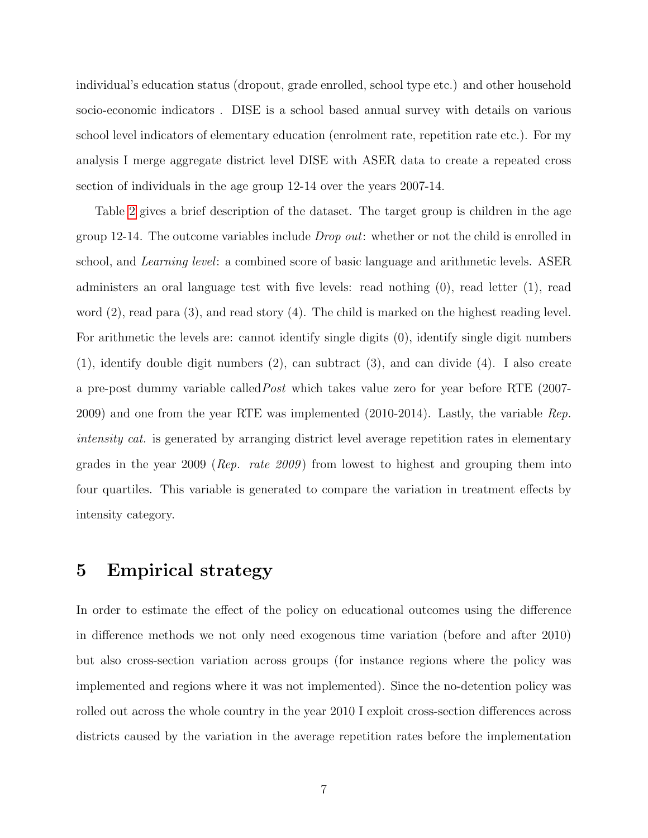individual's education status (dropout, grade enrolled, school type etc.) and other household socio-economic indicators . DISE is a school based annual survey with details on various school level indicators of elementary education (enrolment rate, repetition rate etc.). For my analysis I merge aggregate district level DISE with ASER data to create a repeated cross section of individuals in the age group 12-14 over the years 2007-14.

Table [2](#page-15-0) gives a brief description of the dataset. The target group is children in the age group 12-14. The outcome variables include *Drop out*: whether or not the child is enrolled in school, and Learning level: a combined score of basic language and arithmetic levels. ASER administers an oral language test with five levels: read nothing (0), read letter (1), read word  $(2)$ , read para  $(3)$ , and read story  $(4)$ . The child is marked on the highest reading level. For arithmetic the levels are: cannot identify single digits (0), identify single digit numbers (1), identify double digit numbers (2), can subtract (3), and can divide (4). I also create a pre-post dummy variable calledPost which takes value zero for year before RTE (2007- 2009) and one from the year RTE was implemented  $(2010-2014)$ . Lastly, the variable *Rep.* intensity cat. is generated by arranging district level average repetition rates in elementary grades in the year 2009 ( $Rep.$  rate 2009) from lowest to highest and grouping them into four quartiles. This variable is generated to compare the variation in treatment effects by intensity category.

### 5 Empirical strategy

In order to estimate the effect of the policy on educational outcomes using the difference in difference methods we not only need exogenous time variation (before and after 2010) but also cross-section variation across groups (for instance regions where the policy was implemented and regions where it was not implemented). Since the no-detention policy was rolled out across the whole country in the year 2010 I exploit cross-section differences across districts caused by the variation in the average repetition rates before the implementation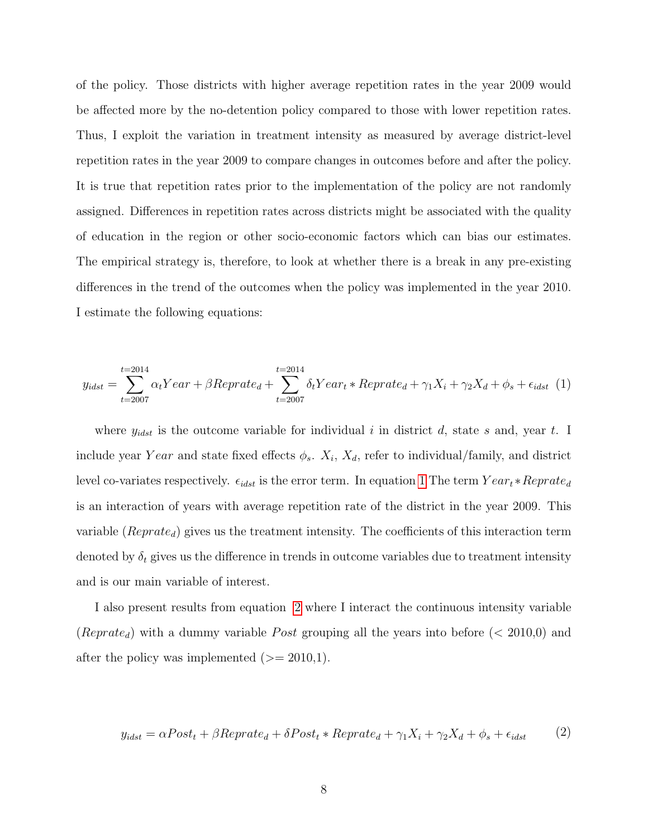of the policy. Those districts with higher average repetition rates in the year 2009 would be affected more by the no-detention policy compared to those with lower repetition rates. Thus, I exploit the variation in treatment intensity as measured by average district-level repetition rates in the year 2009 to compare changes in outcomes before and after the policy. It is true that repetition rates prior to the implementation of the policy are not randomly assigned. Differences in repetition rates across districts might be associated with the quality of education in the region or other socio-economic factors which can bias our estimates. The empirical strategy is, therefore, to look at whether there is a break in any pre-existing differences in the trend of the outcomes when the policy was implemented in the year 2010. I estimate the following equations:

<span id="page-8-0"></span>
$$
y_{idst} = \sum_{t=2007}^{t=2014} \alpha_t Year + \beta Reprate_d + \sum_{t=2007}^{t=2014} \delta_t Year_t * Reprate_d + \gamma_1 X_i + \gamma_2 X_d + \phi_s + \epsilon_{idst} \tag{1}
$$

where  $y_{idst}$  is the outcome variable for individual i in district d, state s and, year t. I include year Year and state fixed effects  $\phi_s$ .  $X_i$ ,  $X_d$ , refer to individual/family, and district level co-variates respectively.  $\epsilon_{idst}$  is the error term. In equation [1](#page-8-0) The term  $Year_t * Reprate_d$ is an interaction of years with average repetition rate of the district in the year 2009. This variable ( $Reprate_d$ ) gives us the treatment intensity. The coefficients of this interaction term denoted by  $\delta_t$  gives us the difference in trends in outcome variables due to treatment intensity and is our main variable of interest.

I also present results from equation [2](#page-8-1) where I interact the continuous intensity variable (Reprate<sub>d</sub>) with a dummy variable Post grouping all the years into before ( $<$  2010,0) and after the policy was implemented  $(>= 2010,1)$ .

<span id="page-8-1"></span>
$$
y_{idst} = \alpha Post_t + \beta Reprate_d + \delta Post_t * Reprate_d + \gamma_1 X_i + \gamma_2 X_d + \phi_s + \epsilon_{idst}
$$
 (2)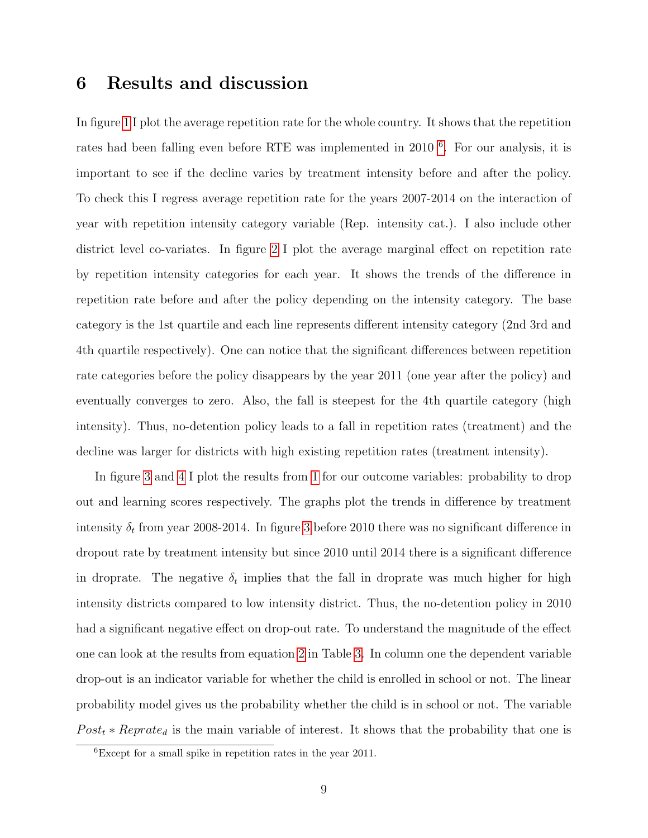## 6 Results and discussion

In figure [1](#page-19-0) I plot the average repetition rate for the whole country. It shows that the repetition rates had been falling even before RTE was implemented in 2010<sup>[6](#page-0-0)</sup>. For our analysis, it is important to see if the decline varies by treatment intensity before and after the policy. To check this I regress average repetition rate for the years 2007-2014 on the interaction of year with repetition intensity category variable (Rep. intensity cat.). I also include other district level co-variates. In figure [2](#page-19-1) I plot the average marginal effect on repetition rate by repetition intensity categories for each year. It shows the trends of the difference in repetition rate before and after the policy depending on the intensity category. The base category is the 1st quartile and each line represents different intensity category (2nd 3rd and 4th quartile respectively). One can notice that the significant differences between repetition rate categories before the policy disappears by the year 2011 (one year after the policy) and eventually converges to zero. Also, the fall is steepest for the 4th quartile category (high intensity). Thus, no-detention policy leads to a fall in repetition rates (treatment) and the decline was larger for districts with high existing repetition rates (treatment intensity).

In figure [3](#page-20-0) and [4](#page-20-1) I plot the results from [1](#page-8-0) for our outcome variables: probability to drop out and learning scores respectively. The graphs plot the trends in difference by treatment intensity  $\delta_t$  from year 2008-2014. In figure [3](#page-20-0) before 2010 there was no significant difference in dropout rate by treatment intensity but since 2010 until 2014 there is a significant difference in droprate. The negative  $\delta_t$  implies that the fall in droprate was much higher for high intensity districts compared to low intensity district. Thus, the no-detention policy in 2010 had a significant negative effect on drop-out rate. To understand the magnitude of the effect one can look at the results from equation [2](#page-8-1) in Table [3.](#page-16-0) In column one the dependent variable drop-out is an indicator variable for whether the child is enrolled in school or not. The linear probability model gives us the probability whether the child is in school or not. The variable  $Post<sub>t</sub> * Reprate<sub>d</sub>$  is the main variable of interest. It shows that the probability that one is

<sup>6</sup>Except for a small spike in repetition rates in the year 2011.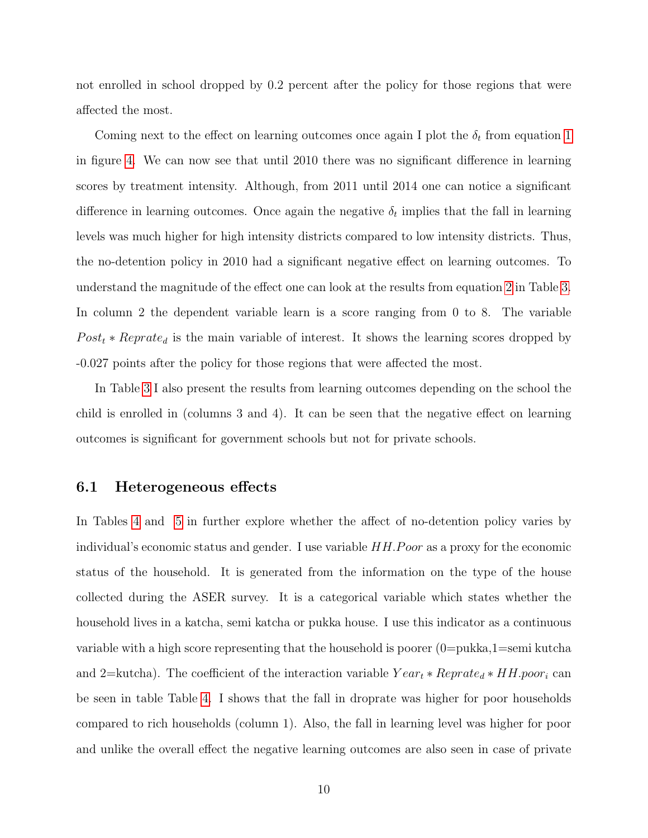not enrolled in school dropped by 0.2 percent after the policy for those regions that were affected the most.

Coming next to the effect on learning outcomes once again I plot the  $\delta_t$  from equation [1](#page-8-0) in figure [4.](#page-20-1) We can now see that until 2010 there was no significant difference in learning scores by treatment intensity. Although, from 2011 until 2014 one can notice a significant difference in learning outcomes. Once again the negative  $\delta_t$  implies that the fall in learning levels was much higher for high intensity districts compared to low intensity districts. Thus, the no-detention policy in 2010 had a significant negative effect on learning outcomes. To understand the magnitude of the effect one can look at the results from equation [2](#page-8-1) in Table [3.](#page-16-0) In column 2 the dependent variable learn is a score ranging from 0 to 8. The variable  $Post_t * Reprate_d$  is the main variable of interest. It shows the learning scores dropped by -0.027 points after the policy for those regions that were affected the most.

In Table [3](#page-16-0) I also present the results from learning outcomes depending on the school the child is enrolled in (columns 3 and 4). It can be seen that the negative effect on learning outcomes is significant for government schools but not for private schools.

#### 6.1 Heterogeneous effects

In Tables [4](#page-17-0) and [5](#page-18-0) in further explore whether the affect of no-detention policy varies by individual's economic status and gender. I use variable  $HH.Poor$  as a proxy for the economic status of the household. It is generated from the information on the type of the house collected during the ASER survey. It is a categorical variable which states whether the household lives in a katcha, semi katcha or pukka house. I use this indicator as a continuous variable with a high score representing that the household is poorer  $(0=pukka,1=semi kutcha)$ and 2=kutcha). The coefficient of the interaction variable  $Year_t * Reprate_d * HH. poor_i$  can be seen in table Table [4.](#page-17-0) I shows that the fall in droprate was higher for poor households compared to rich households (column 1). Also, the fall in learning level was higher for poor and unlike the overall effect the negative learning outcomes are also seen in case of private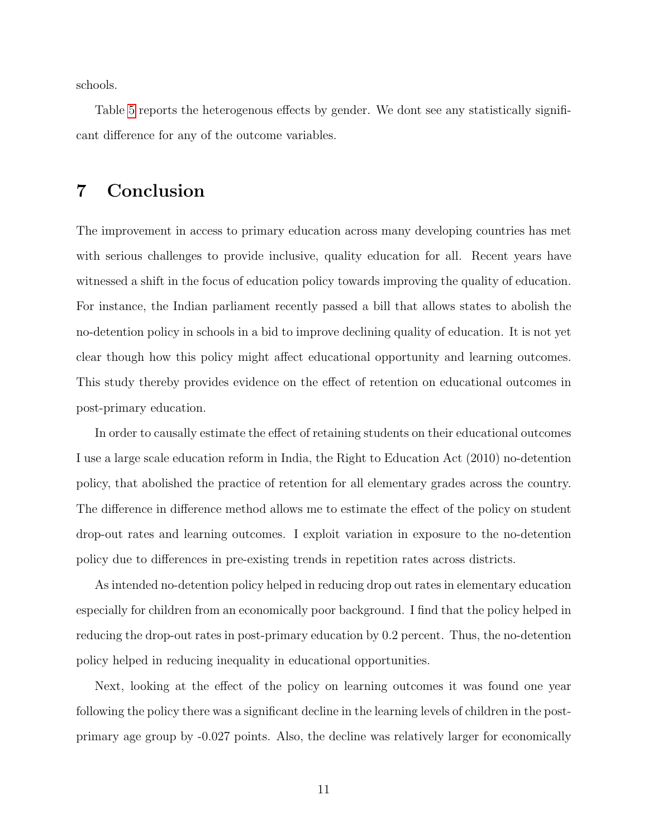schools.

Table [5](#page-18-0) reports the heterogenous effects by gender. We dont see any statistically significant difference for any of the outcome variables.

## 7 Conclusion

The improvement in access to primary education across many developing countries has met with serious challenges to provide inclusive, quality education for all. Recent years have witnessed a shift in the focus of education policy towards improving the quality of education. For instance, the Indian parliament recently passed a bill that allows states to abolish the no-detention policy in schools in a bid to improve declining quality of education. It is not yet clear though how this policy might affect educational opportunity and learning outcomes. This study thereby provides evidence on the effect of retention on educational outcomes in post-primary education.

In order to causally estimate the effect of retaining students on their educational outcomes I use a large scale education reform in India, the Right to Education Act (2010) no-detention policy, that abolished the practice of retention for all elementary grades across the country. The difference in difference method allows me to estimate the effect of the policy on student drop-out rates and learning outcomes. I exploit variation in exposure to the no-detention policy due to differences in pre-existing trends in repetition rates across districts.

As intended no-detention policy helped in reducing drop out rates in elementary education especially for children from an economically poor background. I find that the policy helped in reducing the drop-out rates in post-primary education by 0.2 percent. Thus, the no-detention policy helped in reducing inequality in educational opportunities.

Next, looking at the effect of the policy on learning outcomes it was found one year following the policy there was a significant decline in the learning levels of children in the postprimary age group by -0.027 points. Also, the decline was relatively larger for economically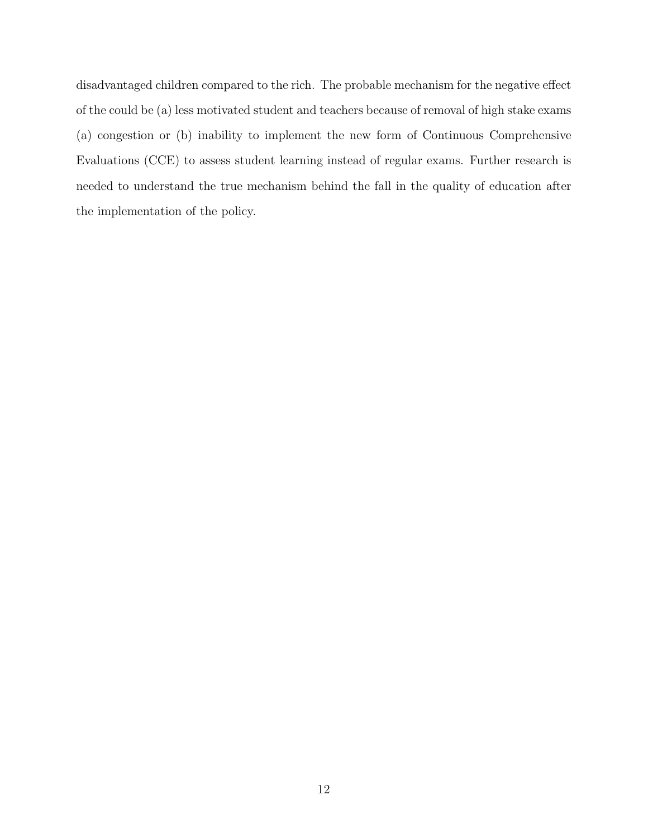disadvantaged children compared to the rich. The probable mechanism for the negative effect of the could be (a) less motivated student and teachers because of removal of high stake exams (a) congestion or (b) inability to implement the new form of Continuous Comprehensive Evaluations (CCE) to assess student learning instead of regular exams. Further research is needed to understand the true mechanism behind the fall in the quality of education after the implementation of the policy.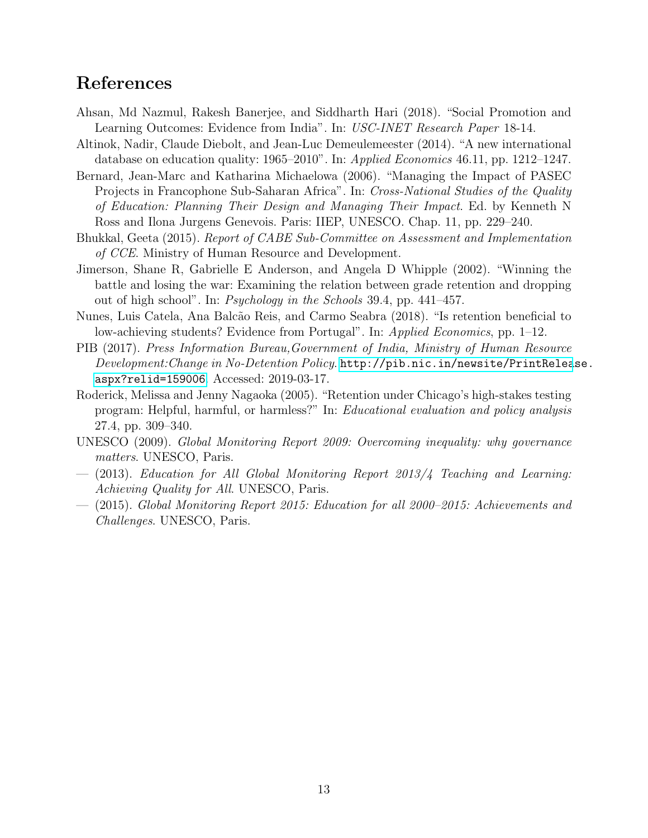## References

- <span id="page-13-8"></span>Ahsan, Md Nazmul, Rakesh Banerjee, and Siddharth Hari (2018). "Social Promotion and Learning Outcomes: Evidence from India". In: USC-INET Research Paper 18-14.
- <span id="page-13-4"></span>Altinok, Nadir, Claude Diebolt, and Jean-Luc Demeulemeester (2014). "A new international database on education quality: 1965–2010". In: Applied Economics 46.11, pp. 1212–1247.
- <span id="page-13-7"></span>Bernard, Jean-Marc and Katharina Michaelowa (2006). "Managing the Impact of PASEC Projects in Francophone Sub-Saharan Africa". In: Cross-National Studies of the Quality of Education: Planning Their Design and Managing Their Impact. Ed. by Kenneth N Ross and Ilona Jurgens Genevois. Paris: IIEP, UNESCO. Chap. 11, pp. 229–240.
- <span id="page-13-9"></span>Bhukkal, Geeta (2015). Report of CABE Sub-Committee on Assessment and Implementation of CCE. Ministry of Human Resource and Development.
- <span id="page-13-2"></span>Jimerson, Shane R, Gabrielle E Anderson, and Angela D Whipple (2002). "Winning the battle and losing the war: Examining the relation between grade retention and dropping out of high school". In:  $Psychology$  in the Schools 39.4, pp. 441–457.
- <span id="page-13-3"></span>Nunes, Luis Catela, Ana Balc˜ao Reis, and Carmo Seabra (2018). "Is retention beneficial to low-achieving students? Evidence from Portugal". In: Applied Economics, pp. 1–12.
- <span id="page-13-10"></span>PIB (2017). Press Information Bureau,Government of India, Ministry of Human Resource Development:Change in No-Detention Policy. [http://pib.nic.in/newsite/PrintRelea](http://pib.nic.in/newsite/PrintRelease.aspx?relid=159006)se. [aspx?relid=159006](http://pib.nic.in/newsite/PrintRelease.aspx?relid=159006). Accessed: 2019-03-17.
- <span id="page-13-6"></span>Roderick, Melissa and Jenny Nagaoka (2005). "Retention under Chicago's high-stakes testing program: Helpful, harmful, or harmless?" In: Educational evaluation and policy analysis 27.4, pp. 309–340.
- <span id="page-13-1"></span>UNESCO (2009). Global Monitoring Report 2009: Overcoming inequality: why governance matters. UNESCO, Paris.
- <span id="page-13-5"></span>— (2013). Education for All Global Monitoring Report 2013/4 Teaching and Learning: Achieving Quality for All. UNESCO, Paris.
- <span id="page-13-0"></span>— (2015). Global Monitoring Report 2015: Education for all 2000–2015: Achievements and Challenges. UNESCO, Paris.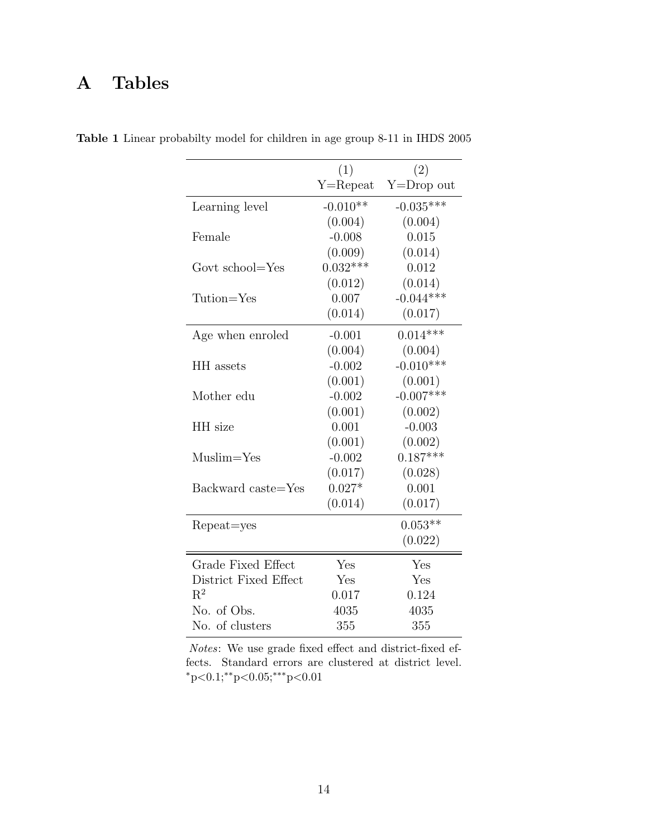# A Tables

|                       | (1)          | (2)            |
|-----------------------|--------------|----------------|
|                       | $Y =$ Repeat | $Y = Drop$ out |
| Learning level        | $-0.010**$   | $-0.035***$    |
|                       | (0.004)      | (0.004)        |
| Female                | $-0.008$     | 0.015          |
|                       | (0.009)      | (0.014)        |
| Govt school=Yes       | $0.032***$   | 0.012          |
|                       | (0.012)      | (0.014)        |
| Tution=Yes            | 0.007        | $-0.044***$    |
|                       | (0.014)      | (0.017)        |
| Age when enroled      | $-0.001$     | $0.014***$     |
|                       | (0.004)      | (0.004)        |
| HH assets             | $-0.002$     | $-0.010***$    |
|                       | (0.001)      | (0.001)        |
| Mother edu            | $-0.002$     | $-0.007***$    |
|                       | (0.001)      | (0.002)        |
| HH size               | 0.001        | $-0.003$       |
|                       | (0.001)      | (0.002)        |
| $Muslim=Yes$          | $-0.002$     | $0.187***$     |
|                       | (0.017)      | (0.028)        |
| Backward caste=Yes    | $0.027*$     | 0.001          |
|                       | (0.014)      | (0.017)        |
| Repeat=yes            |              | $0.053**$      |
|                       |              | (0.022)        |
| Grade Fixed Effect    | Yes          | Yes            |
| District Fixed Effect | Yes          | Yes            |
| $\mathrm{R}^2$        | 0.017        | 0.124          |
| No. of Obs.           | 4035         | 4035           |
| No. of clusters       | 355          | 355            |

<span id="page-14-0"></span>Table 1 Linear probabilty model for children in age group 8-11 in IHDS 2005

Notes: We use grade fixed effect and district-fixed effects. Standard errors are clustered at district level. <sup>∗</sup>p<0.1;∗∗p<0.05;∗∗∗p<0.01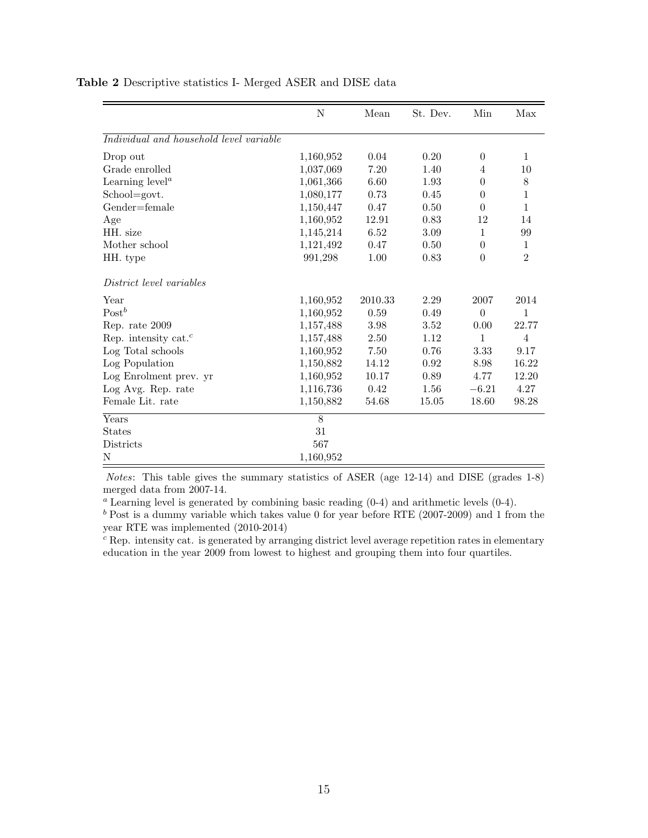|                                               | N         | Mean    | St. Dev. | Min              | Max            |
|-----------------------------------------------|-----------|---------|----------|------------------|----------------|
| Individual and household level variable       |           |         |          |                  |                |
| Drop out                                      | 1,160,952 | 0.04    | 0.20     | $\theta$         | 1              |
| Grade enrolled                                | 1,037,069 | 7.20    | 1.40     | $\overline{4}$   | 10             |
| Learning $levela$                             | 1,061,366 | 6.60    | 1.93     | $\theta$         | 8              |
| School=govt.                                  | 1,080,177 | 0.73    | 0.45     | $\theta$         | $\mathbf{1}$   |
| Gender=female                                 | 1,150,447 | 0.47    | 0.50     | $\theta$         | $\mathbf{1}$   |
| Age                                           | 1,160,952 | 12.91   | 0.83     | 12               | 14             |
| HH. size                                      | 1,145,214 | 6.52    | 3.09     | $\mathbf{1}$     | 99             |
| Mother school                                 | 1,121,492 | 0.47    | 0.50     | $\boldsymbol{0}$ | $\mathbf{1}$   |
| HH. type                                      | 991,298   | 1.00    | 0.83     | $\overline{0}$   | $\overline{2}$ |
| District level variables                      |           |         |          |                  |                |
| Year                                          | 1,160,952 | 2010.33 | 2.29     | 2007             | 2014           |
| $Post^b$                                      | 1,160,952 | 0.59    | 0.49     | $\overline{0}$   | $\mathbf{1}$   |
| Rep. rate 2009                                | 1,157,488 | 3.98    | 3.52     | 0.00             | 22.77          |
| Rep. intensity cat. <sup><math>c</math></sup> | 1,157,488 | 2.50    | 1.12     | $\mathbf{1}$     | $\overline{4}$ |
| Log Total schools                             | 1,160,952 | 7.50    | 0.76     | 3.33             | 9.17           |
| Log Population                                | 1,150,882 | 14.12   | 0.92     | 8.98             | 16.22          |
| Log Enrolment prev. yr                        | 1,160,952 | 10.17   | 0.89     | 4.77             | 12.20          |
| Log Avg. Rep. rate                            | 1,116,736 | 0.42    | 1.56     | $-6.21$          | 4.27           |
| Female Lit. rate                              | 1,150,882 | 54.68   | 15.05    | 18.60            | 98.28          |
| Years                                         | 8         |         |          |                  |                |
| <b>States</b>                                 | 31        |         |          |                  |                |
| Districts                                     | 567       |         |          |                  |                |
| N                                             | 1,160,952 |         |          |                  |                |

<span id="page-15-0"></span>Table 2 Descriptive statistics I- Merged ASER and DISE data

Notes: This table gives the summary statistics of ASER (age 12-14) and DISE (grades 1-8) merged data from 2007-14.

<sup>a</sup> Learning level is generated by combining basic reading  $(0-4)$  and arithmetic levels  $(0-4)$ .

 $b$  Post is a dummy variable which takes value 0 for year before RTE (2007-2009) and 1 from the year RTE was implemented (2010-2014)

<sup>c</sup> Rep. intensity cat. is generated by arranging district level average repetition rates in elementary education in the year 2009 from lowest to highest and grouping them into four quartiles.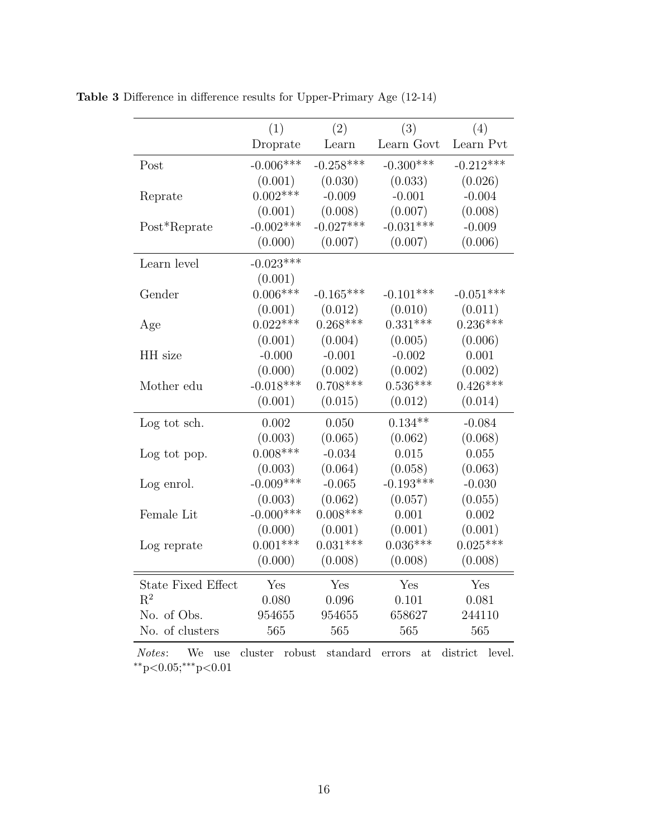|                           | (1)          | (2)         | (3)         | (4)         |
|---------------------------|--------------|-------------|-------------|-------------|
|                           | Droprate     | Learn       | Learn Govt  | Learn Pvt   |
| Post                      | $-0.006***$  | $-0.258***$ | $-0.300***$ | $-0.212***$ |
|                           | (0.001)      | (0.030)     | (0.033)     | (0.026)     |
| Reprate                   | $0.002***$   | $-0.009$    | $-0.001$    | $-0.004$    |
|                           | (0.001)      | (0.008)     | (0.007)     | (0.008)     |
| Post*Reprate              | $-0.002***$  | $-0.027***$ | $-0.031***$ | $-0.009$    |
|                           | (0.000)      | (0.007)     | (0.007)     | (0.006)     |
| Learn level               | $-0.023***$  |             |             |             |
|                           | (0.001)      |             |             |             |
| Gender                    | $0.006***$   | $-0.165***$ | $-0.101***$ | $-0.051***$ |
|                           | (0.001)      | (0.012)     | (0.010)     | (0.011)     |
| Age                       | $0.022***$   | $0.268***$  | $0.331***$  | $0.236***$  |
|                           | (0.001)      | (0.004)     | (0.005)     | (0.006)     |
| HH size                   | $-0.000$     | $-0.001$    | $-0.002$    | 0.001       |
|                           | (0.000)      | (0.002)     | (0.002)     | (0.002)     |
| Mother edu                | $-0.018***$  | $0.708***$  | $0.536***$  | $0.426***$  |
|                           | (0.001)      | (0.015)     | (0.012)     | (0.014)     |
| Log tot sch.              | 0.002        | 0.050       | $0.134**$   | $-0.084$    |
|                           | (0.003)      | (0.065)     | (0.062)     | (0.068)     |
| Log tot pop.              | $0.008***$   | $-0.034$    | 0.015       | 0.055       |
|                           | (0.003)      | (0.064)     | (0.058)     | (0.063)     |
| Log enrol.                | $-0.009***$  | $-0.065$    | $-0.193***$ | $-0.030$    |
|                           | (0.003)      | (0.062)     | (0.057)     | (0.055)     |
| Female Lit                | $-0.000$ *** | $0.008***$  | 0.001       | 0.002       |
|                           | (0.000)      | (0.001)     | (0.001)     | (0.001)     |
| Log reprate               | $0.001***$   | $0.031***$  | $0.036***$  | $0.025***$  |
|                           | (0.000)      | (0.008)     | (0.008)     | (0.008)     |
| <b>State Fixed Effect</b> | Yes          | Yes         | Yes         | Yes         |
| $R^2$                     | 0.080        | 0.096       | 0.101       | 0.081       |
| No. of Obs.               | 954655       | 954655      | 658627      | 244110      |
| No. of clusters           | 565          | 565         | 565         | 565         |

<span id="page-16-0"></span>Table 3 Difference in difference results for Upper-Primary Age (12-14)

Notes: We use cluster robust standard errors at district level.  $*p<0.05; **p<0.01$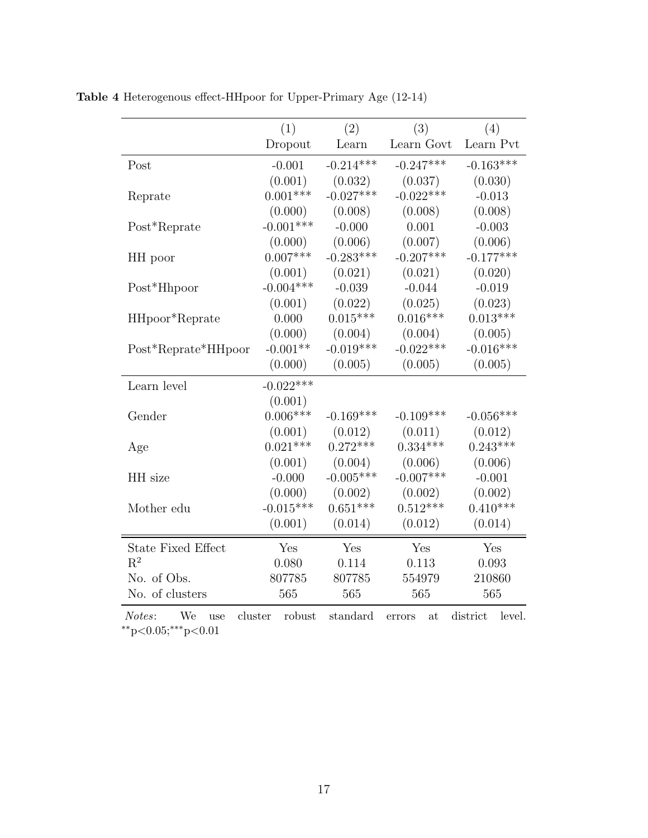|                           | (1)         | (2)         | (3)         | (4)         |
|---------------------------|-------------|-------------|-------------|-------------|
|                           | Dropout     | Learn       | Learn Govt  | Learn Pvt   |
| Post                      | $-0.001$    | $-0.214***$ | $-0.247***$ | $-0.163***$ |
|                           | (0.001)     | (0.032)     | (0.037)     | (0.030)     |
| Reprate                   | $0.001***$  | $-0.027***$ | $-0.022***$ | $-0.013$    |
|                           | (0.000)     | (0.008)     | (0.008)     | (0.008)     |
| Post*Reprate              | $-0.001***$ | $-0.000$    | 0.001       | $-0.003$    |
|                           | (0.000)     | (0.006)     | (0.007)     | (0.006)     |
| HH poor                   | $0.007***$  | $-0.283***$ | $-0.207***$ | $-0.177***$ |
|                           | (0.001)     | (0.021)     | (0.021)     | (0.020)     |
| Post*Hhpoor               | $-0.004***$ | $-0.039$    | $-0.044$    | $-0.019$    |
|                           | (0.001)     | (0.022)     | (0.025)     | (0.023)     |
| HHpoor*Reprate            | 0.000       | $0.015***$  | $0.016***$  | $0.013***$  |
|                           | (0.000)     | (0.004)     | (0.004)     | (0.005)     |
| Post*Reprate*HHpoor       | $-0.001**$  | $-0.019***$ | $-0.022***$ | $-0.016***$ |
|                           | (0.000)     | (0.005)     | (0.005)     | (0.005)     |
| Learn level               | $-0.022***$ |             |             |             |
|                           | (0.001)     |             |             |             |
| Gender                    | $0.006***$  | $-0.169***$ | $-0.109***$ | $-0.056***$ |
|                           | (0.001)     | (0.012)     | (0.011)     | (0.012)     |
| Age                       | $0.021***$  | $0.272***$  | $0.334***$  | $0.243***$  |
|                           | (0.001)     | (0.004)     | (0.006)     | (0.006)     |
| HH size                   | $-0.000$    | $-0.005***$ | $-0.007***$ | $-0.001$    |
|                           | (0.000)     | (0.002)     | (0.002)     | (0.002)     |
| Mother edu                | $-0.015***$ | $0.651***$  | $0.512***$  | $0.410***$  |
|                           | (0.001)     | (0.014)     | (0.012)     | (0.014)     |
| <b>State Fixed Effect</b> | Yes         | Yes         | Yes         | Yes         |
| $R^2$                     | 0.080       | $0.114\,$   | 0.113       | 0.093       |
| No. of Obs.               | 807785      | 807785      | 554979      | 210860      |
| No. of clusters           | 565         | 565         | 565         | 565         |

<span id="page-17-0"></span>Table 4 Heterogenous effect-HHpoor for Upper-Primary Age (12-14)

Notes: We use cluster robust standard errors at district level.  $*p<0.05; **p<0.01$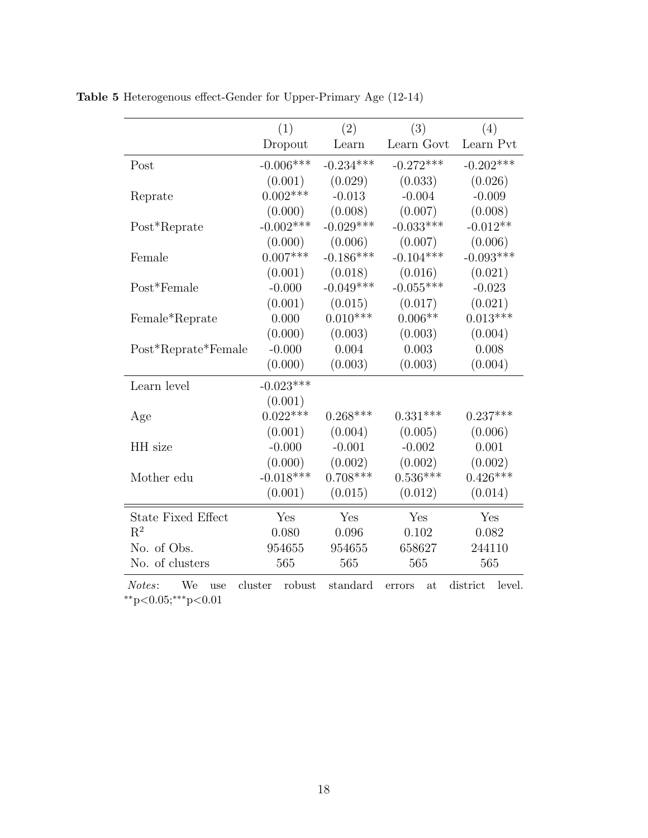|                           | (1)         | (2)         | (3)         | (4)         |
|---------------------------|-------------|-------------|-------------|-------------|
|                           | Dropout     | Learn       | Learn Govt  | Learn Pvt   |
| Post                      | $-0.006***$ | $-0.234***$ | $-0.272***$ | $-0.202***$ |
|                           | (0.001)     | (0.029)     | (0.033)     | (0.026)     |
| Reprate                   | $0.002***$  | $-0.013$    | $-0.004$    | $-0.009$    |
|                           | (0.000)     | (0.008)     | (0.007)     | (0.008)     |
| Post*Reprate              | $-0.002***$ | $-0.029***$ | $-0.033***$ | $-0.012**$  |
|                           | (0.000)     | (0.006)     | (0.007)     | (0.006)     |
| Female                    | $0.007***$  | $-0.186***$ | $-0.104***$ | $-0.093***$ |
|                           | (0.001)     | (0.018)     | (0.016)     | (0.021)     |
| Post*Female               | $-0.000$    | $-0.049***$ | $-0.055***$ | $-0.023$    |
|                           | (0.001)     | (0.015)     | (0.017)     | (0.021)     |
| Female*Reprate            | 0.000       | $0.010***$  | $0.006**$   | $0.013***$  |
|                           | (0.000)     | (0.003)     | (0.003)     | (0.004)     |
| Post*Reprate*Female       | $-0.000$    | 0.004       | 0.003       | 0.008       |
|                           | (0.000)     | (0.003)     | (0.003)     | (0.004)     |
| Learn level               | $-0.023***$ |             |             |             |
|                           | (0.001)     |             |             |             |
| Age                       | $0.022***$  | $0.268***$  | $0.331***$  | $0.237***$  |
|                           | (0.001)     | (0.004)     | (0.005)     | (0.006)     |
| HH size                   | $-0.000$    | $-0.001$    | $-0.002$    | 0.001       |
|                           | (0.000)     | (0.002)     | (0.002)     | (0.002)     |
| Mother edu                | $-0.018***$ | $0.708***$  | $0.536***$  | $0.426***$  |
|                           | (0.001)     | (0.015)     | (0.012)     | (0.014)     |
| <b>State Fixed Effect</b> | Yes         | Yes         | Yes         | Yes         |
| $\mathrm{R}^2$            | 0.080       | 0.096       | 0.102       | 0.082       |
| No. of Obs.               | 954655      | 954655      | 658627      | 244110      |
| No. of clusters           | 565         | 565         | 565         | 565         |

<span id="page-18-0"></span>Table 5 Heterogenous effect-Gender for Upper-Primary Age (12-14)

Notes: We use cluster robust standard errors at district level.  $*p<0.05; **p<0.01$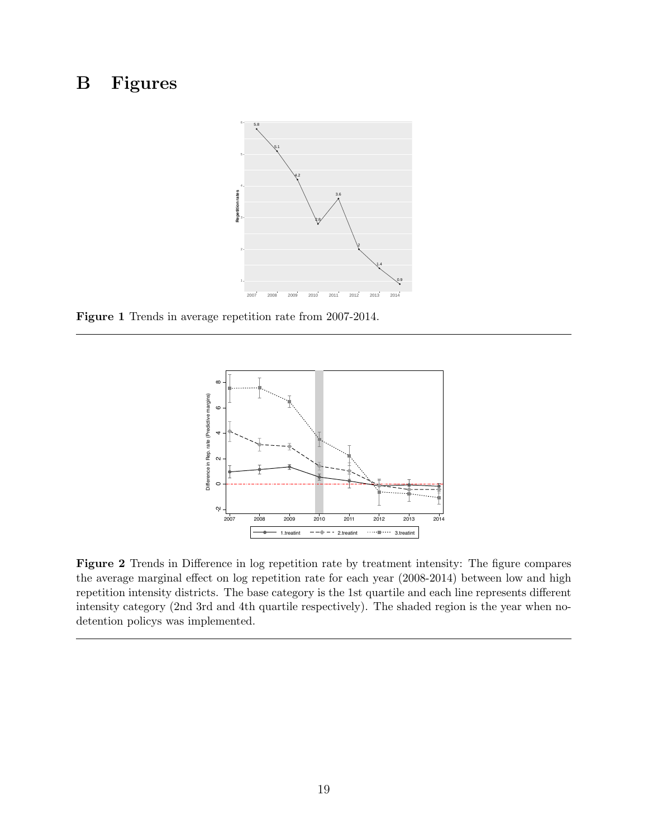# <span id="page-19-0"></span>B Figures



<span id="page-19-1"></span>Figure 1 Trends in average repetition rate from 2007-2014.



Figure 2 Trends in Difference in log repetition rate by treatment intensity: The figure compares the average marginal effect on log repetition rate for each year (2008-2014) between low and high repetition intensity districts. The base category is the 1st quartile and each line represents different intensity category (2nd 3rd and 4th quartile respectively). The shaded region is the year when nodetention policys was implemented.